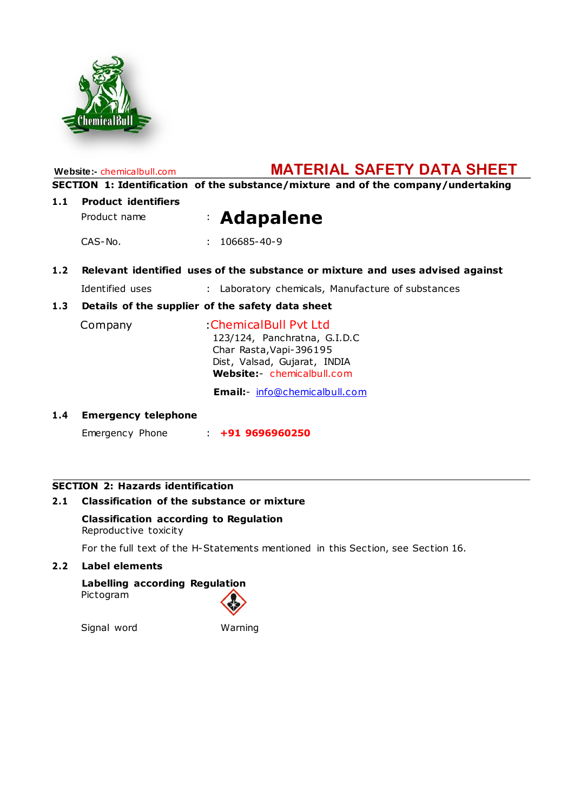

# **Website:-** chemicalbull.com **MATERIAL SAFETY DATA SHEET SECTION 1: Identification of the substance/mixture and of the company/undertaking 1 .1 Product identifiers** Product name : **Adapalene** CAS-No. : 106685-40-9 **1 .2 Relevant identified uses of the substance or mixture and uses advised against** Identified uses : Laboratory chemicals, Manufacture of substances **1 .3 Details of the supplier of the safety data sheet** Company :ChemicalBull Pvt Ltd 123/124, Panchratna, G.I.D.C Char Rasta,Vapi-396195 Dist, Valsad, Gujarat, INDIA **Website:**- chemicalbull.com

**Email:**- [info@chemicalbull.com](mailto:info@chemicalbull.com)

## **1 .4 Emergency telephone**

Emergency Phone : **+91 9696960250**

## **SECTION 2: Hazards identification**

## **2 .1 Classification of the substance or mixture**

## **Classification according to Regulation**

Reproductive toxicity

For the full text of the H-Statements mentioned in this Section, see Section 16.

## **2 .2 Label elements**

## **Labelling according Regulation** Pictogram

Signal word Warning

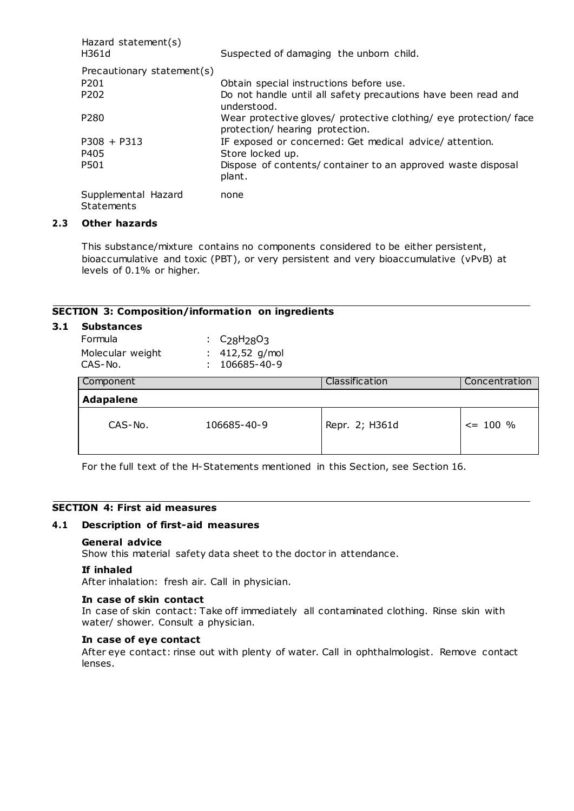| Hazard statement(s)<br>H361d      | Suspected of damaging the unborn child.                                                              |
|-----------------------------------|------------------------------------------------------------------------------------------------------|
| Precautionary statement(s)        |                                                                                                      |
| P <sub>201</sub>                  | Obtain special instructions before use.                                                              |
| P <sub>202</sub>                  | Do not handle until all safety precautions have been read and<br>understood.                         |
| P <sub>280</sub>                  | Wear protective gloves/ protective clothing/ eye protection/ face<br>protection/ hearing protection. |
| $P308 + P313$                     | IF exposed or concerned: Get medical advice/attention.                                               |
| P405                              | Store locked up.                                                                                     |
| P501                              | Dispose of contents/ container to an approved waste disposal<br>plant.                               |
| Supplemental Hazard<br>Statements | none                                                                                                 |

## **2 .3 Other hazards**

This substance/mixture contains no components considered to be either persistent, bioaccumulative and toxic (PBT), or very persistent and very bioaccumulative (vPvB) at levels of 0.1% or higher.

## **SECTION 3: Composition/information on ingredients**

| 3.1 | <b>Substances</b><br>Formula<br>: $C_{28}H_{28}O_{3}$<br>412,52 g/mol<br>Molecular weight<br>÷.<br>106685-40-9<br>CAS-No. |             |                |               |  |  |
|-----|---------------------------------------------------------------------------------------------------------------------------|-------------|----------------|---------------|--|--|
|     | Component                                                                                                                 |             | Classification | Concentration |  |  |
|     | <b>Adapalene</b>                                                                                                          |             |                |               |  |  |
|     | CAS-No.                                                                                                                   | 106685-40-9 | Repr. 2; H361d | $\leq$ 100 %  |  |  |

For the full text of the H-Statements mentioned in this Section, see Section 16.

## **SECTION 4: First aid measures**

## **4 .1 Description of first-aid measures**

#### **General advice**

Show this material safety data sheet to the doctor in attendance.

#### **If inhaled**

After inhalation: fresh air. Call in physician.

#### **In case of skin contact**

In case of skin contact: Take off immediately all contaminated clothing. Rinse skin with water/ shower. Consult a physician.

#### **In case of eye contact**

After eye contact: rinse out with plenty of water. Call in ophthalmologist. Remove contact lenses.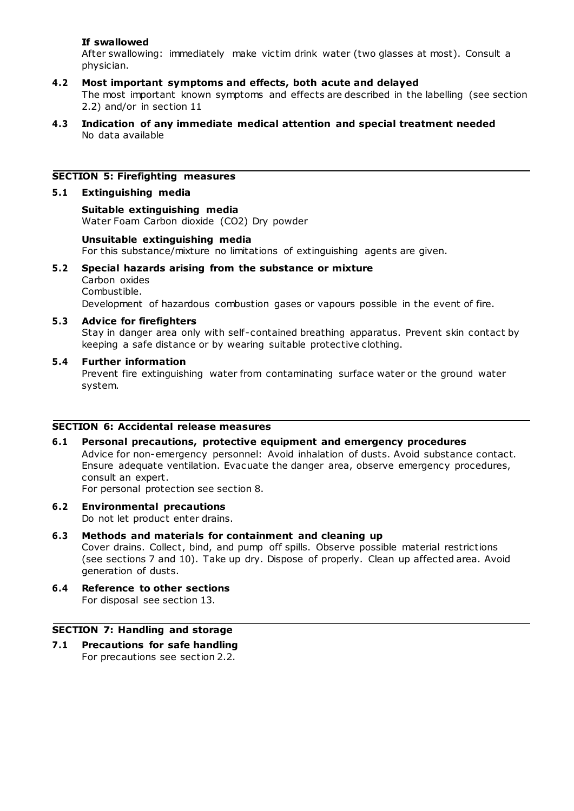## **If swallowed**

After swallowing: immediately make victim drink water (two glasses at most). Consult a physician.

- **4 .2 Most important symptoms and effects, both acute and delayed** The most important known symptoms and effects are described in the labelling (see section 2.2) and/or in section 11
- **4 .3 Indication of any immediate medical attention and special treatment needed** No data available

## **SECTION 5: Firefighting measures**

#### **5 .1 Extinguishing media**

**Suitable extinguishing media** Water Foam Carbon dioxide (CO2) Dry powder

## **Unsuitable extinguishing media**

For this substance/mixture no limitations of extinguishing agents are given.

## **5 .2 Special hazards arising from the substance or mixture**

Carbon oxides Combustible.

Development of hazardous combustion gases or vapours possible in the event of fire.

#### **5 .3 Advice for firefighters**

Stay in danger area only with self-contained breathing apparatus. Prevent skin contact by keeping a safe distance or by wearing suitable protective clothing.

#### **5 .4 Further information**

Prevent fire extinguishing water from contaminating surface water or the ground water system.

#### **SECTION 6: Accidental release measures**

#### **6 .1 Personal precautions, protective equipment and emergency procedures**

Advice for non-emergency personnel: Avoid inhalation of dusts. Avoid substance contact. Ensure adequate ventilation. Evacuate the danger area, observe emergency procedures, consult an expert.

For personal protection see section 8.

**6 .2 Environmental precautions** Do not let product enter drains.

## **6 .3 Methods and materials for containment and cleaning up**

Cover drains. Collect, bind, and pump off spills. Observe possible material restrictions (see sections 7 and 10). Take up dry. Dispose of properly. Clean up affected area. Avoid generation of dusts.

**6 .4 Reference to other sections** For disposal see section 13.

## **SECTION 7: Handling and storage**

**7 .1 Precautions for safe handling** For precautions see section 2.2.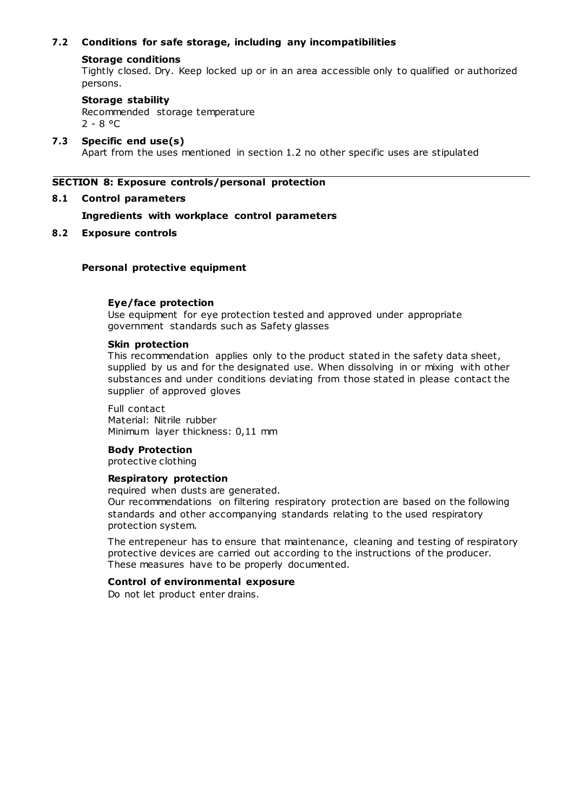## **7 .2 Conditions for safe storage, including any incompatibilities**

#### **Storage conditions**

Tightly closed. Dry. Keep locked up or in an area accessible only to qualified or authorized persons.

#### **Storage stability**

Recommended storage temperature  $2 - 8 °C$ 

#### **7 .3 Specific end use(s)**

Apart from the uses mentioned in section 1.2 no other specific uses are stipulated

## **SECTION 8: Exposure controls/personal protection**

#### **8 .1 Control parameters**

## **Ingredients with workplace control parameters**

#### **8 .2 Exposure controls**

#### **Personal protective equipment**

#### **Eye/face protection**

Use equipment for eye protection tested and approved under appropriate government standards such as Safety glasses

#### **Skin protection**

This recommendation applies only to the product stated in the safety data sheet, supplied by us and for the designated use. When dissolving in or mixing with other substances and under conditions deviating from those stated in please contact the supplier of approved gloves

Full contact Material: Nitrile rubber Minimum layer thickness: 0,11 mm

## **Body Protection**

protective clothing

## **Respiratory protection**

required when dusts are generated.

Our recommendations on filtering respiratory protection are based on the following standards and other accompanying standards relating to the used respiratory protection system.

The entrepeneur has to ensure that maintenance, cleaning and testing of respiratory protective devices are carried out according to the instructions of the producer. These measures have to be properly documented.

## **Control of environmental exposure**

Do not let product enter drains.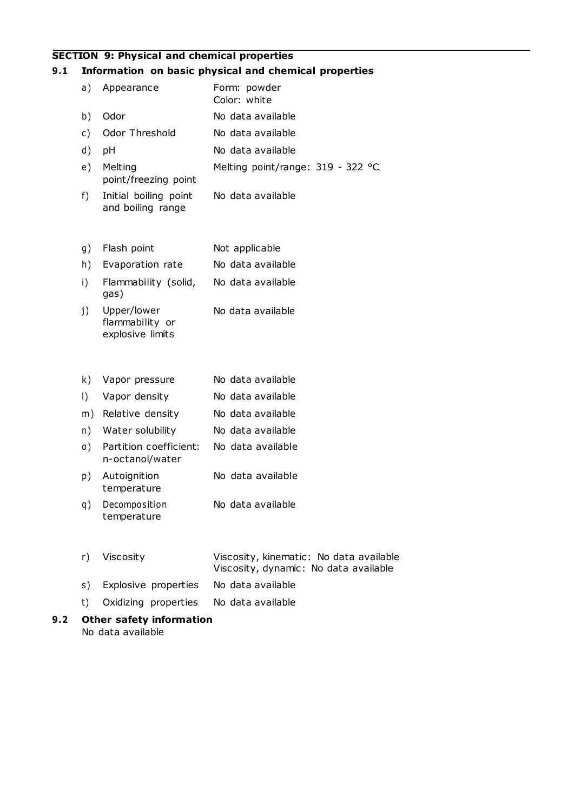## **SECTION 9: Physical and chemical properties**

## **9 .1 Information on basic physical and chemical properties**

| a)            | Appearance                                         | Form: powder<br>Color: white      |
|---------------|----------------------------------------------------|-----------------------------------|
| b)            | Odor                                               | No data available                 |
| $\mathsf{c})$ | Odor Threshold                                     | No data available                 |
| d)            | pH                                                 | No data available                 |
| e)            | Melting<br>point/freezing point                    | Melting point/range: 319 - 322 °C |
| f)            | Initial boiling point<br>and boiling range         | No data available                 |
| g)            | Flash point                                        | Not applicable                    |
| h)            | Evaporation rate                                   | No data available                 |
| i)            | Flammability (solid,<br>gas)                       | No data available                 |
| j)            | Upper/lower<br>flammability or<br>explosive limits | No data available                 |
| k)            | Vapor pressure                                     | No data available                 |
| $\vert$ )     | Vapor density                                      | No data available                 |
| m)            | Relative density                                   | No data available                 |
| n)            | Water solubility                                   | No data available                 |
| $\circ$ )     | Partition coefficient:<br>n-octanol/water          | No data available                 |
| p)            | Autoignition<br>temperature                        | No data available                 |
| q)            | Decomposition<br>temperature                       | No data available                 |
| r).           | Viscositv                                          | Viscosity kinematic: No data avai |

- r ) Viscosity Viscosity, kinematic: No data available Viscosity, dynamic: No data available s) Explosive properties No data available t) Oxidizing properties No data available
- **9 .2 Other safety information** No data available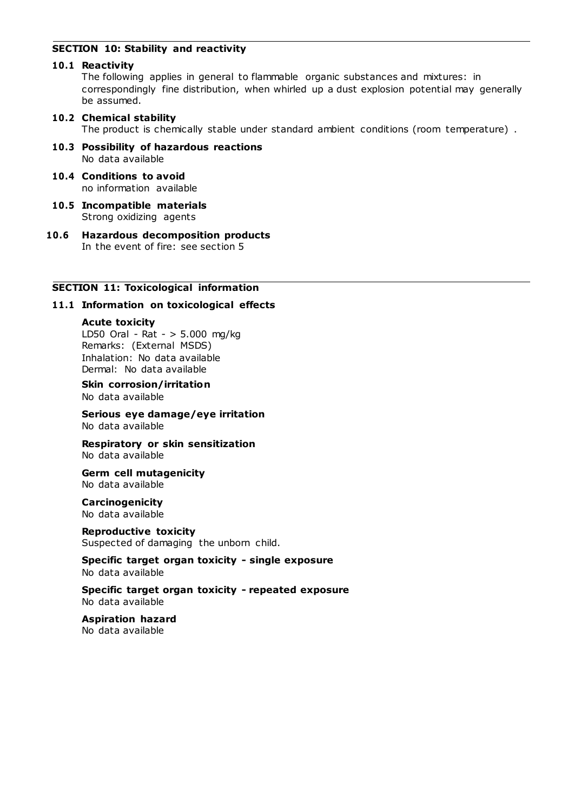## **SECTION 10: Stability and reactivity**

## **10 .1 Reactivity**

The following applies in general to flammable organic substances and mixtures: in correspondingly fine distribution, when whirled up a dust explosion potential may generally be assumed.

- **10 .2 Chemical stability** The product is chemically stable under standard ambient conditions (room temperature) .
- **10 .3 Possibility of hazardous reactions** No data available
- **10 .4 Conditions to avoid** no information available
- **10 .5 Incompatible materials** Strong oxidizing agents
- **10 .6 Hazardous decomposition products** In the event of fire: see section 5

## **SECTION 11: Toxicological information**

#### **11 .1 Information on toxicological effects**

#### **Acute toxicity**

LD50 Oral - Rat - > 5.000 mg/kg Remarks: (External MSDS) Inhalation: No data available Dermal: No data available

**Skin corrosion/irritation** No data available

**Serious eye damage/eye irritation** No data available

**Respiratory or skin sensitization** No data available

**Germ cell mutagenicity** No data available

**Carcinogenicity** No data available

**Reproductive toxicity** Suspected of damaging the unborn child.

**Specific target organ toxicity - single exposure** No data available

**Specific target organ toxicity - repeated exposure** No data available

**Aspiration hazard** No data available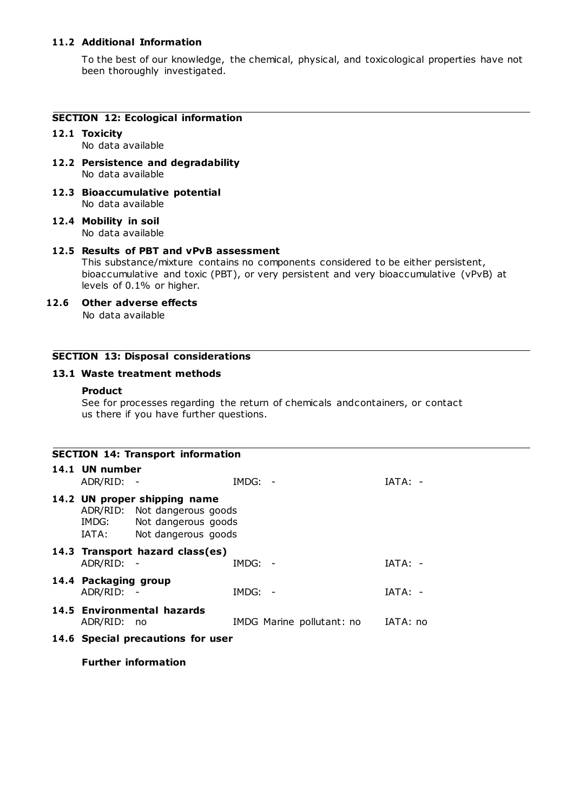### **11 .2 Additional Information**

To the best of our knowledge, the chemical, physical, and toxicological properties have not been thoroughly investigated.

## **SECTION 12: Ecological information**

## **12 .1 Toxicity**

No data available

- **12 .2 Persistence and degradability** No data available
- **12 .3 Bioaccumulative potential** No data available
- **12 .4 Mobility in soil** No data available

## **12 .5 Results of PBT and vPvB assessment**

This substance/mixture contains no components considered to be either persistent, bioaccumulative and toxic (PBT), or very persistent and very bioaccumulative (vPvB) at levels of 0.1% or higher.

## **12 .6 Other adverse effects**

No data available

## **SECTION 13: Disposal considerations**

## **13.1 Waste treatment methods**

#### **Product**

See for processes regarding the return of chemicals andcontainers, or contact us there if you have further questions.

| <b>SECTION 14: Transport information</b> |                                    |                                                                                                            |           |                           |           |  |  |
|------------------------------------------|------------------------------------|------------------------------------------------------------------------------------------------------------|-----------|---------------------------|-----------|--|--|
|                                          | 14.1 UN number<br>ADR/RID: -       |                                                                                                            | $IMDG: -$ |                           | $IATA: -$ |  |  |
|                                          | IMDG:<br>IATA:                     | 14.2 UN proper shipping name<br>ADR/RID: Not dangerous goods<br>Not dangerous goods<br>Not dangerous goods |           |                           |           |  |  |
|                                          | ADR/RID: -                         | 14.3 Transport hazard class(es)                                                                            | $IMDG: -$ |                           | $IATA: -$ |  |  |
|                                          | 14.4 Packaging group<br>ADR/RID: - |                                                                                                            | $IMDG: -$ |                           | $IATA: -$ |  |  |
|                                          | ADR/RID: no                        | 14.5 Environmental hazards                                                                                 |           | IMDG Marine pollutant: no | IATA: no  |  |  |
|                                          |                                    | 14.6 Special precautions for user                                                                          |           |                           |           |  |  |

**Further information**